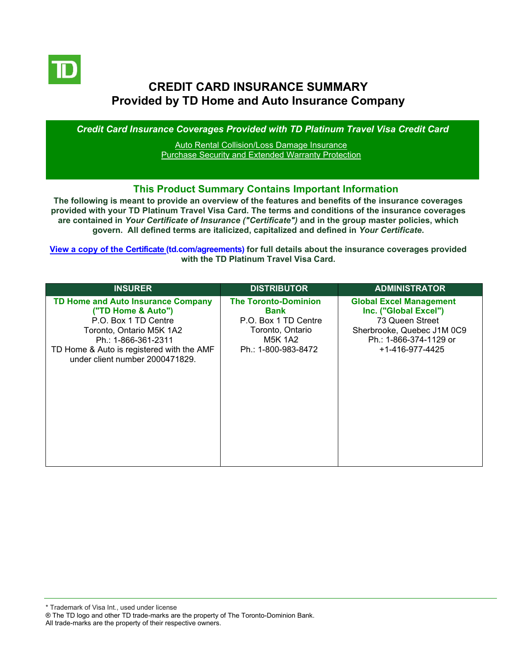

# **CREDIT CARD INSURANCE SUMMARY Provided by TD Home and Auto Insurance Company**

*Credit Card Insurance Coverages Provided with TD Platinum Travel Visa Credit Card*

[Auto Rental Collision/Loss Damage Insurance](#page-3-0) [Purchase Security and Extended Warranty Protection](#page-4-0)

#### **This Product Summary Contains Important Information**

**The following is meant to provide an overview of the features and benefits of the insurance coverages provided with your TD Platinum Travel Visa Card. The terms and conditions of the insurance coverages are contained in** *Your Certificate of Insurance ("Certificate")* **and in the group master policies, which govern. All defined terms are italicized, [capitalized and defined](https://www.td.com/ca/en/personal-banking/how-to/manage-my-credit-card/getting-started/?tdtab=4) in** *Your Certificate***.**

**[View a copy of the Certificate](https://www.td.com/ca/en/personal-banking/how-to/manage-my-credit-card/getting-started/?tdtab=4) (td.com/agreements) for full details about the insurance coverages provided with the TD Platinum Travel Visa Card.**

| <b>INSURER</b>                                                                                                                                                                                                             | <b>DISTRIBUTOR</b>                                                                                                       | <b>ADMINISTRATOR</b>                                                                                                                                  |
|----------------------------------------------------------------------------------------------------------------------------------------------------------------------------------------------------------------------------|--------------------------------------------------------------------------------------------------------------------------|-------------------------------------------------------------------------------------------------------------------------------------------------------|
| <b>TD Home and Auto Insurance Company</b><br>("TD Home & Auto")<br>P.O. Box 1 TD Centre<br>Toronto, Ontario M5K 1A2<br>Ph.: 1-866-361-2311<br>TD Home & Auto is registered with the AMF<br>under client number 2000471829. | <b>The Toronto-Dominion</b><br>Bank<br>P.O. Box 1 TD Centre<br>Toronto, Ontario<br><b>M5K 1A2</b><br>Ph.: 1-800-983-8472 | <b>Global Excel Management</b><br>Inc. ("Global Excel")<br>73 Queen Street<br>Sherbrooke, Quebec J1M 0C9<br>Ph.: 1-866-374-1129 or<br>+1-416-977-4425 |

\* Trademark of Visa Int., used under license

All trade-marks are the property of their respective owners.

<sup>®</sup> The TD logo and other TD trade-marks are the property of The Toronto-Dominion Bank.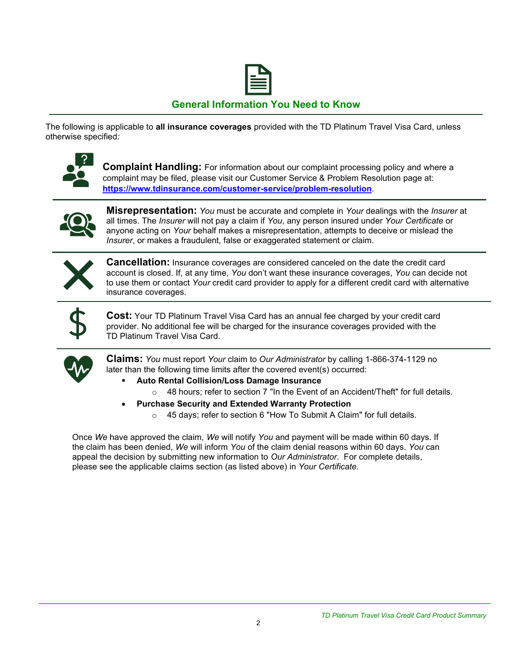

# **General Information You Need to Know**

The following is applicable to **all insurance coverages** provided with the TD Platinum Travel Visa Card, unless otherwise specified*:*



**Complaint Handling:** For information about our complaint processing policy and where a complaint may be filed, please visit our Customer Service & Problem Resolution page at: **<https://www.tdinsurance.com/customer-service/problem-resolution>**.



**Misrepresentation:** *You* must be accurate and complete in *Your* dealings with the *Insurer* at all times. The *Insurer* will not pay a claim if *You*, any person insured under *Your Certificate* or anyone acting on *Your* behalf makes a misrepresentation, attempts to deceive or mislead the *Insurer*, or makes a fraudulent, false or exaggerated statement or claim.



**Cancellation:** Insurance coverages are considered canceled on the date the credit card account is closed. If, at any time, *You* don't want these insurance coverages, *You* can decide not to use them or contact *Your* credit card provider to apply for a different credit card with alternative insurance coverages.



**Cost:** Your TD Platinum Travel Visa Card has an annual fee charged by your credit card provider. No additional fee will be charged for the insurance coverages provided with the TD Platinum Travel Visa Card.



**Claims:** *You* must report *Your* claim to *Our Administrator* by calling 1-866-374-1129 no later than the following time limits after the covered event(s) occurred:

- **Auto Rental Collision/Loss Damage Insurance** 
	- $\circ$  48 hours; refer to section 7 "In the Event of an Accident/Theft" for full details.
- **Purchase Security and Extended Warranty Protection**
	- o 45 days; refer to section 6 "How To Submit A Claim" for full details.

Once *We* have approved the claim, *We* will notify *You* and payment will be made within 60 days. If the claim has been denied, *We* will inform *You* of the claim denial reasons within 60 days. *You* can appeal the decision by submitting new information to *Our Administrator*. For complete details, please see the applicable claims section (as listed above) in *Your Certificate.*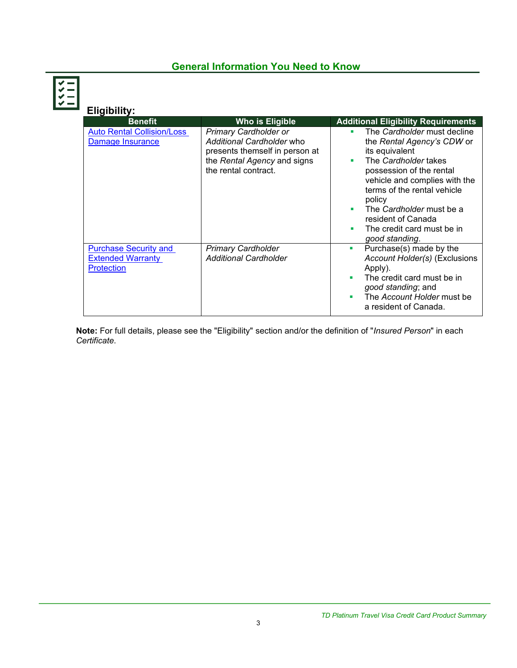# **General Information You Need to Know**

| Eligibility:                                                                  |                                                                                                                                                    |                                                                                                                                                                                                                                                                                                                            |
|-------------------------------------------------------------------------------|----------------------------------------------------------------------------------------------------------------------------------------------------|----------------------------------------------------------------------------------------------------------------------------------------------------------------------------------------------------------------------------------------------------------------------------------------------------------------------------|
| <b>Benefit</b>                                                                | Who is Eligible                                                                                                                                    | <b>Additional Eligibility Requirements</b>                                                                                                                                                                                                                                                                                 |
| <b>Auto Rental Collision/Loss</b><br>Damage Insurance                         | <b>Primary Cardholder or</b><br>Additional Cardholder who<br>presents themself in person at<br>the Rental Agency and signs<br>the rental contract. | The Cardholder must decline<br>٠<br>the Rental Agency's CDW or<br>its equivalent<br>The Cardholder takes<br>٠<br>possession of the rental<br>vehicle and complies with the<br>terms of the rental vehicle<br>policy<br>The Cardholder must be a<br>resident of Canada<br>The credit card must be in<br>٠<br>good standing. |
| <b>Purchase Security and</b><br><b>Extended Warranty</b><br><b>Protection</b> | <b>Primary Cardholder</b><br><b>Additional Cardholder</b>                                                                                          | Purchase(s) made by the<br>$\blacksquare$<br>Account Holder(s) (Exclusions<br>Apply).<br>The credit card must be in<br>good standing; and<br>The Account Holder must be<br>a resident of Canada.                                                                                                                           |

**Note:** For full details, please see the "Eligibility" section and/or the definition of "*Insured Person*" in each *Certificate*.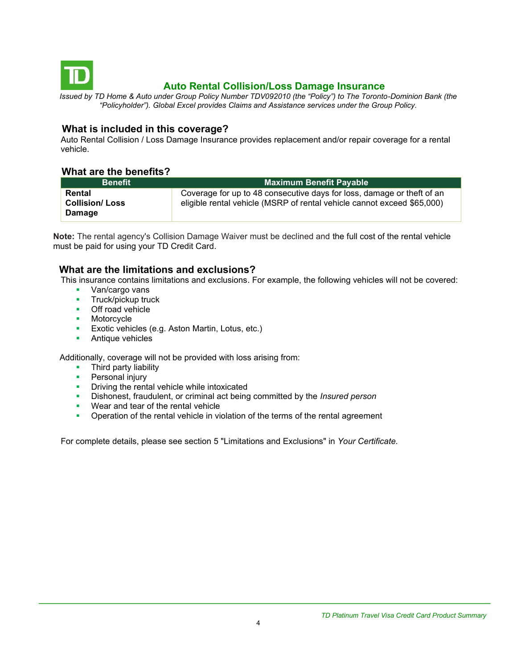<span id="page-3-0"></span>

# **Auto Rental Collision/Loss Damage Insurance**

*Issued by TD Home & Auto under Group Policy Number TDV092010 (the "Policy") to The Toronto-Dominion Bank (the "Policyholder"). Global Excel provides Claims and Assistance services under the Group Policy.*

### **What is included in this coverage?**

Auto Rental Collision / Loss Damage Insurance provides replacement and/or repair coverage for a rental vehicle.

#### **What are the benefits?**

| <b>Benefit</b>                            | <b>Maximum Benefit Payable</b>                                                                                                                    |
|-------------------------------------------|---------------------------------------------------------------------------------------------------------------------------------------------------|
| Rental<br><b>Collision/Loss</b><br>Damage | Coverage for up to 48 consecutive days for loss, damage or theft of an<br>eligible rental vehicle (MSRP of rental vehicle cannot exceed \$65,000) |

**Note:** The rental agency's Collision Damage Waiver must be declined and the full cost of the rental vehicle must be paid for using your TD Credit Card.

### **What are the limitations and exclusions?**

This insurance contains limitations and exclusions. For example, the following vehicles will not be covered:

- Van/cargo vans
- **■** Truck/pickup truck
- Off road vehicle
- Motorcycle
- **Exotic vehicles (e.g. Aston Martin, Lotus, etc.)**
- Antique vehicles

Additionally, coverage will not be provided with loss arising from:

- Third party liability
- **•** Personal injury
- **•** Driving the rental vehicle while intoxicated
- Dishonest, fraudulent, or criminal act being committed by the *Insured person*
- Wear and tear of the rental vehicle
- **•** Operation of the rental vehicle in violation of the terms of the rental agreement

For complete details, please see section 5 "Limitations and Exclusions" in *Your Certificate.*